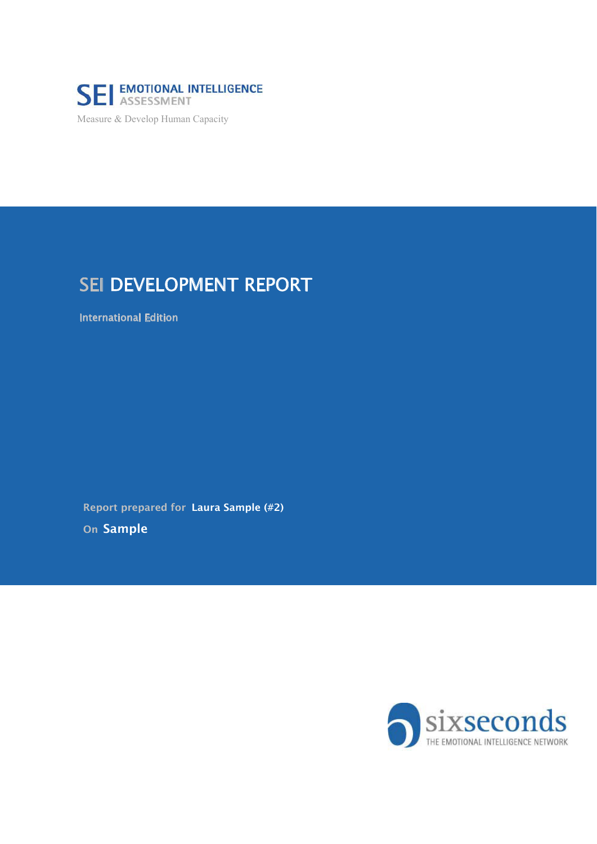

Measure & Develop Human Capacity

## SEI DEVELOPMENT REPORT

International Edition

Report prepared for Laura Sample (#2)

On Sample

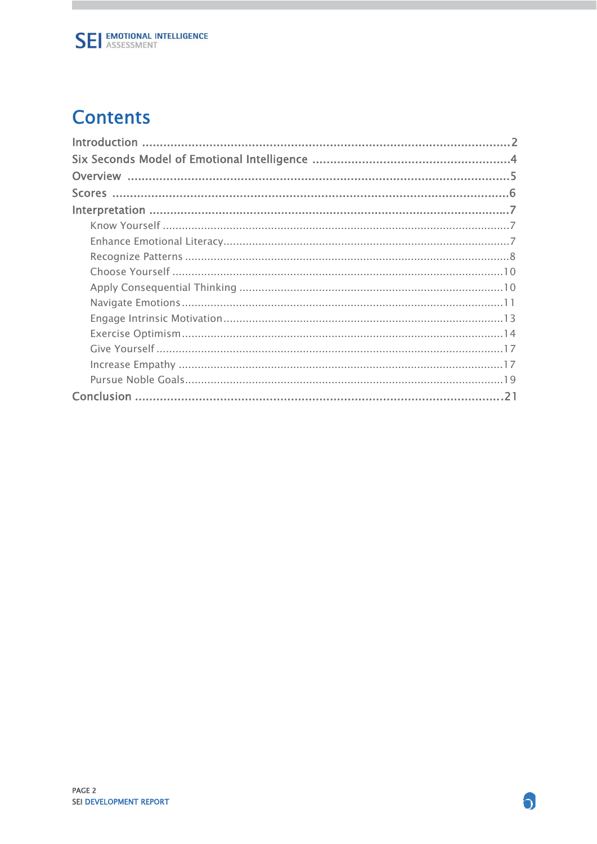## **Contents**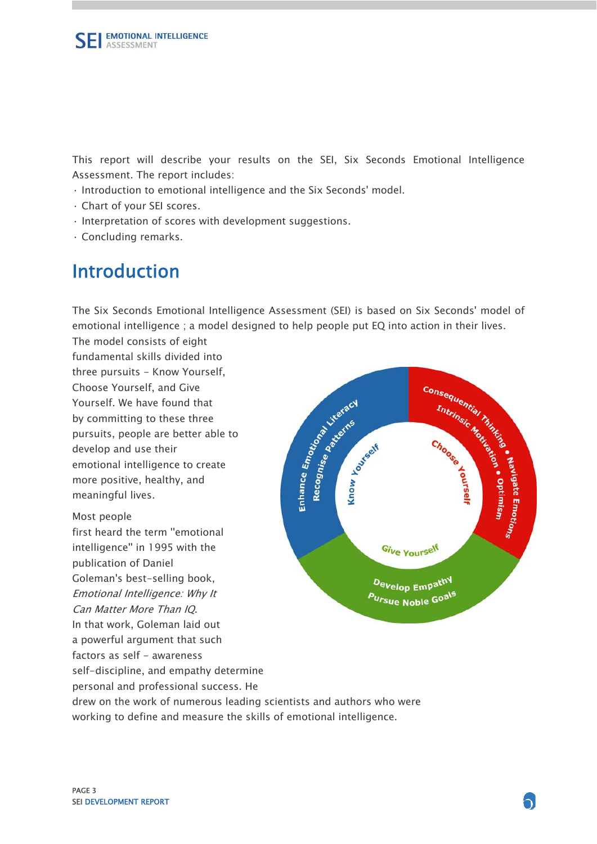This report will describe your results on the SEI, Six Seconds Emotional Intelligence Assessment. The report includes:

- · Introduction to emotional intelligence and the Six Seconds' model.
- · Chart of your SEI scores.
- · Interpretation of scores with development suggestions.
- · Concluding remarks.

## Introduction

The Six Seconds Emotional Intelligence Assessment (SEI) is based on Six Seconds' model of emotional intelligence ; a model designed to help people put EQ into action in their lives.

The model consists of eight fundamental skills divided into three pursuits - Know Yourself, Choose Yourself, and Give Yourself. We have found that by committing to these three pursuits, people are better able to develop and use their emotional intelligence to create more positive, healthy, and meaningful lives.

Most people first heard the term "emotional intelligence'' in 1995 with the publication of Daniel Goleman's best-selling book, Emotional Intelligence: Why It Can Matter More Than IQ. In that work, Goleman laid out a powerful argument that such factors as self - awareness self-discipline, and empathy determine personal and professional success. He



drew on the work of numerous leading scientists and authors who were working to define and measure the skills of emotional intelligence.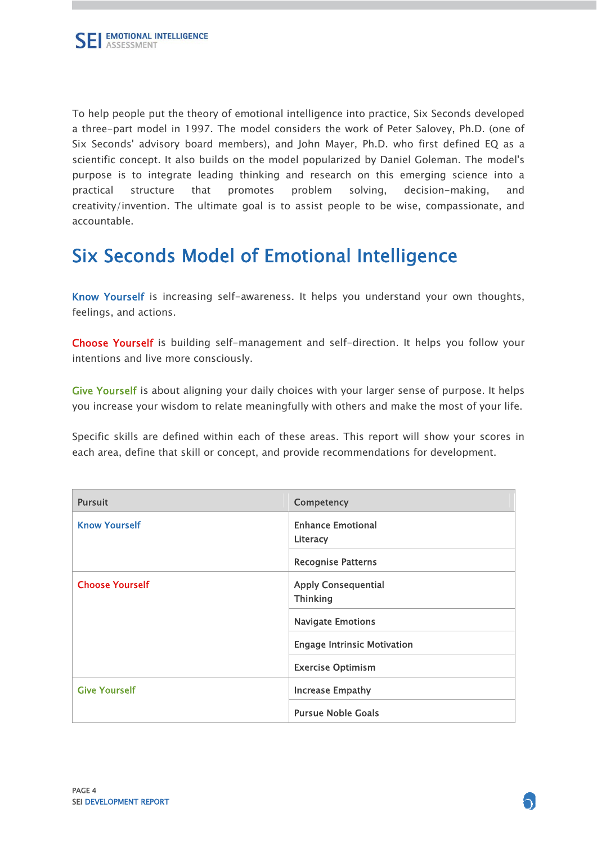To help people put the theory of emotional intelligence into practice, Six Seconds developed a three-part model in 1997. The model considers the work of Peter Salovey, Ph.D. (one of Six Seconds' advisory board members), and John Mayer, Ph.D. who first defined EQ as a scientific concept. It also builds on the model popularized by Daniel Goleman. The model's purpose is to integrate leading thinking and research on this emerging science into a practical structure that promotes problem solving, decision-making, and creativity/invention. The ultimate goal is to assist people to be wise, compassionate, and accountable.

## Six Seconds Model of Emotional Intelligence

Know Yourself is increasing self-awareness. It helps you understand your own thoughts, feelings, and actions.

Choose Yourself is building self-management and self-direction. It helps you follow your intentions and live more consciously.

Give Yourself is about aligning your daily choices with your larger sense of purpose. It helps you increase your wisdom to relate meaningfully with others and make the most of your life.

Specific skills are defined within each of these areas. This report will show your scores in each area, define that skill or concept, and provide recommendations for development.

| <b>Pursuit</b>         | Competency                                    |
|------------------------|-----------------------------------------------|
| <b>Know Yourself</b>   | <b>Enhance Emotional</b><br>Literacy          |
|                        | <b>Recognise Patterns</b>                     |
| <b>Choose Yourself</b> | <b>Apply Consequential</b><br><b>Thinking</b> |
|                        | <b>Navigate Emotions</b>                      |
|                        | <b>Engage Intrinsic Motivation</b>            |
|                        | <b>Exercise Optimism</b>                      |
| <b>Give Yourself</b>   | <b>Increase Empathy</b>                       |
|                        | <b>Pursue Noble Goals</b>                     |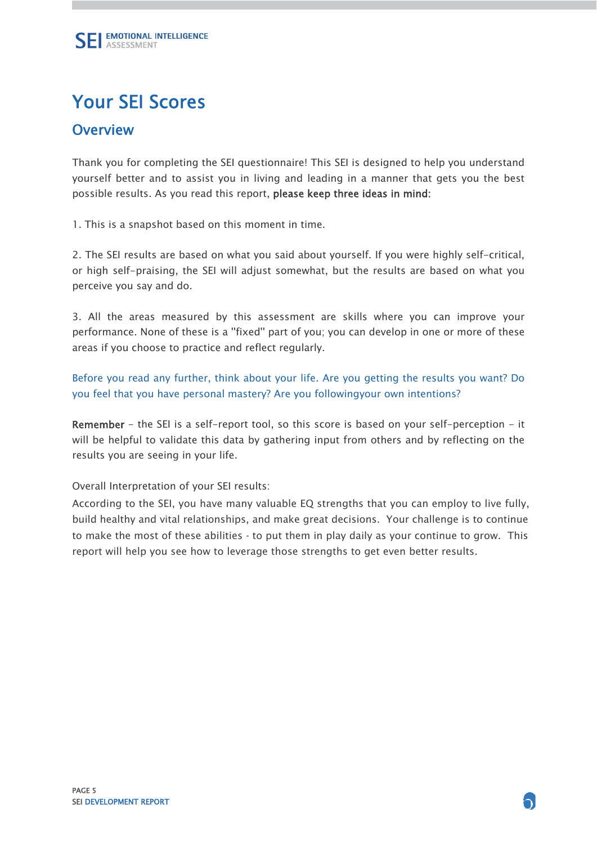# Your SEI Scores

### **Overview**

Thank you for completing the SEI questionnaire! This SEI is designed to help you understand yourself better and to assist you in living and leading in a manner that gets you the best possible results. As you read this report, please keep three ideas in mind:

1. This is a snapshot based on this moment in time.

2. The SEI results are based on what you said about yourself. If you were highly self-critical, or high self-praising, the SEI will adjust somewhat, but the results are based on what you perceive you say and do.

3. All the areas measured by this assessment are skills where you can improve your performance. None of these is a ''fixed'' part of you; you can develop in one or more of these areas if you choose to practice and reflect regularly.

Before you read any further, think about your life. Are you getting the results you want? Do you feel that you have personal mastery? Are you followingyour own intentions?

Remember - the SEI is a self-report tool, so this score is based on your self-perception - it will be helpful to validate this data by gathering input from others and by reflecting on the results you are seeing in your life.

Overall Interpretation of your SEI results:

 build healthy and vital relationships, and make great decisions. Your challenge is to continue to make the most of these abilities - to put them in play daily as your continue to grow. This According to the SEI, you have many valuable EQ strengths that you can employ to live fully, report will help you see how to leverage those strengths to get even better results.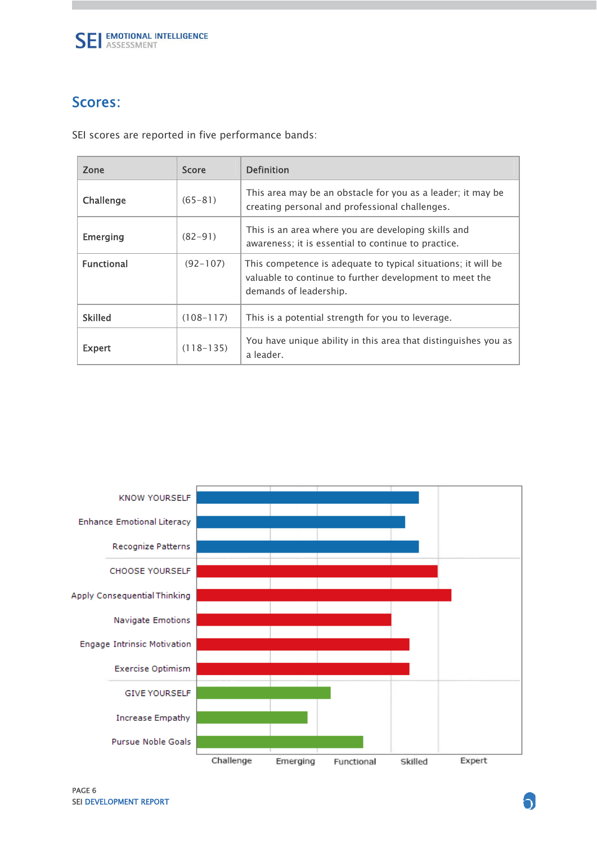

### Scores:

SEI scores are reported in five performance bands:

| Zone              | <b>Score</b>  | <b>Definition</b>                                                                                                                                  |
|-------------------|---------------|----------------------------------------------------------------------------------------------------------------------------------------------------|
| Challenge         | $(65 - 81)$   | This area may be an obstacle for you as a leader; it may be<br>creating personal and professional challenges.                                      |
| Emerging          | $(82 - 91)$   | This is an area where you are developing skills and<br>awareness; it is essential to continue to practice.                                         |
| <b>Functional</b> | $(92 - 107)$  | This competence is adequate to typical situations; it will be<br>valuable to continue to further development to meet the<br>demands of leadership. |
| <b>Skilled</b>    | $(108 - 117)$ | This is a potential strength for you to leverage.                                                                                                  |
| <b>Expert</b>     | $(118 - 135)$ | You have unique ability in this area that distinguishes you as<br>a leader.                                                                        |

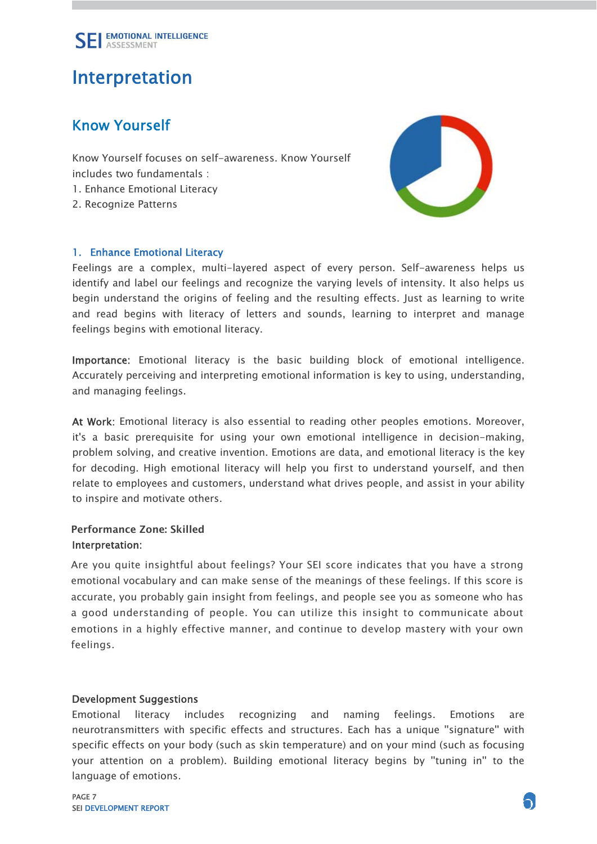

## Interpretation

### Know Yourself

Know Yourself focuses on self-awareness. Know Yourself includes two fundamentals : 1. Enhance Emotional Literacy

2. Recognize Patterns

### 1. Enhance Emotional Literacy



Feelings are a complex, multi-layered aspect of every person. Self-awareness helps us identify and label our feelings and recognize the varying levels of intensity. It also helps us begin understand the origins of feeling and the resulting effects. Just as learning to write and read begins with literacy of letters and sounds, learning to interpret and manage feelings begins with emotional literacy.

Importance: Emotional literacy is the basic building block of emotional intelligence. Accurately perceiving and interpreting emotional information is key to using, understanding, and managing feelings.

At Work: Emotional literacy is also essential to reading other peoples emotions. Moreover, it's a basic prerequisite for using your own emotional intelligence in decision-making, problem solving, and creative invention. Emotions are data, and emotional literacy is the key for decoding. High emotional literacy will help you first to understand yourself, and then relate to employees and customers, understand what drives people, and assist in your ability to inspire and motivate others.

### Performance Zone: Skilled Interpretation:

Are you quite insightful about feelings? Your SEI score indicates that you have a strong emotional vocabulary and can make sense of the meanings of these feelings. If this score is accurate, you probably gain insight from feelings, and people see you as someone who has a good understanding of people. You can utilize this insight to communicate about emotions in a highly effective manner, and continue to develop mastery with your own feelings.

#### Development Suggestions

Emotional literacy includes recognizing and naming feelings. Emotions are neurotransmitters with specific effects and structures. Each has a unique ''signature'' with specific effects on your body (such as skin temperature) and on your mind (such as focusing your attention on a problem). Building emotional literacy begins by ''tuning in'' to the language of emotions.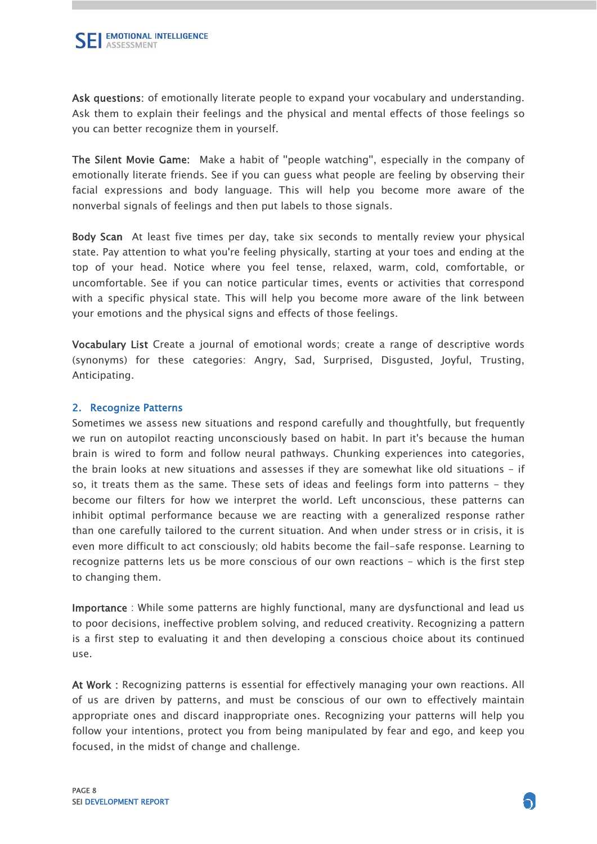Ask questions: of emotionally literate people to expand your vocabulary and understanding. Ask them to explain their feelings and the physical and mental effects of those feelings so you can better recognize them in yourself.

The Silent Movie Game:Make a habit of ''people watching'', especially in the company of emotionally literate friends. See if you can guess what people are feeling by observing their facial expressions and body language. This will help you become more aware of the nonverbal signals of feelings and then put labels to those signals.

Body Scan At least five times per day, take six seconds to mentally review your physical state. Pay attention to what you're feeling physically, starting at your toes and ending at the top of your head. Notice where you feel tense, relaxed, warm, cold, comfortable, or uncomfortable. See if you can notice particular times, events or activities that correspond with a specific physical state. This will help you become more aware of the link between your emotions and the physical signs and effects of those feelings.

Vocabulary List Create a journal of emotional words; create a range of descriptive words (synonyms) for these categories: Angry, Sad, Surprised, Disgusted, Joyful, Trusting, Anticipating.

### 2. Recognize Patterns

Sometimes we assess new situations and respond carefully and thoughtfully, but frequently we run on autopilot reacting unconsciously based on habit. In part it's because the human brain is wired to form and follow neural pathways. Chunking experiences into categories, the brain looks at new situations and assesses if they are somewhat like old situations - if so, it treats them as the same. These sets of ideas and feelings form into patterns - they become our filters for how we interpret the world. Left unconscious, these patterns can inhibit optimal performance because we are reacting with a generalized response rather than one carefully tailored to the current situation. And when under stress or in crisis, it is even more difficult to act consciously; old habits become the fail-safe response. Learning to recognize patterns lets us be more conscious of our own reactions - which is the first step to changing them.

Importance : While some patterns are highly functional, many are dysfunctional and lead us to poor decisions, ineffective problem solving, and reduced creativity. Recognizing a pattern is a first step to evaluating it and then developing a conscious choice about its continued use.

At Work : Recognizing patterns is essential for effectively managing your own reactions. All of us are driven by patterns, and must be conscious of our own to effectively maintain appropriate ones and discard inappropriate ones. Recognizing your patterns will help you follow your intentions, protect you from being manipulated by fear and ego, and keep you focused, in the midst of change and challenge.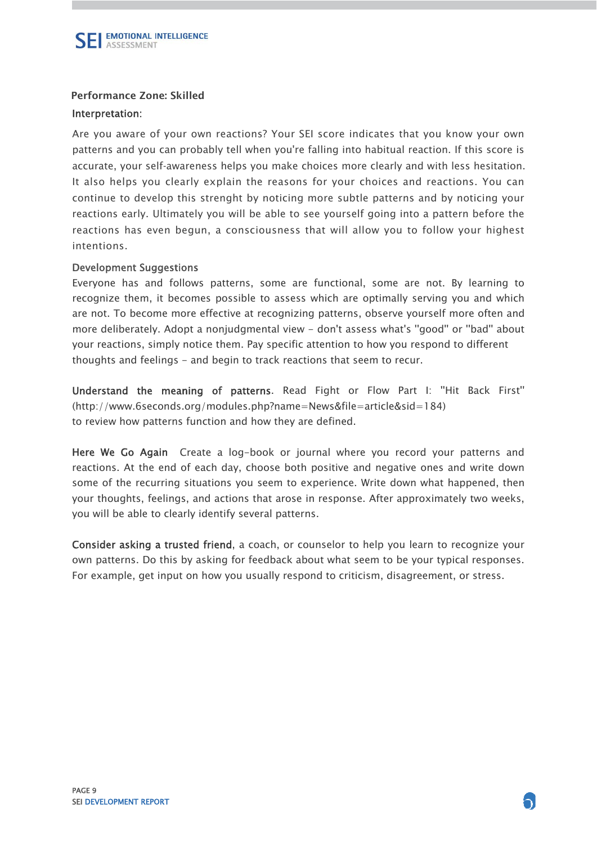

### Performance Zone: Skilled

### Interpretation:

 patterns and you can probably tell when you're falling into habitual reaction. If this score is accurate, your self-awareness helps you make choices more clearly and with less hesitation. It also helps you clearly explain the reasons for your choices and reactions. You can continue to develop this strenght by noticing more subtle patterns and by noticing your reactions early. Ultimately you will be able to see yourself going into a pattern before the reactions has even begun, a consciousness that will allow you to follow your highest j İ Are you aware of your own reactions? Your SEI score indicates that you know your own intentions.

### Development Suggestions

Everyone has and follows patterns, some are functional, some are not. By learning to recognize them, it becomes possible to assess which are optimally serving you and which are not. To become more effective at recognizing patterns, observe yourself more often and more deliberately. Adopt a nonjudgmental view - don't assess what's ''good'' or ''bad'' about your reactions, simply notice them. Pay specific attention to how you respond to different thoughts and feelings - and begin to track reactions that seem to recur.

Understand the meaning of patterns. Read Fight or Flow Part I: ''Hit Back First'' (http://www.6seconds.org/modules.php?name=News&file=article&sid=184) to review how patterns function and how they are defined.

Here We Go Again Create a log-book or journal where you record your patterns and reactions. At the end of each day, choose both positive and negative ones and write down some of the recurring situations you seem to experience. Write down what happened, then your thoughts, feelings, and actions that arose in response. After approximately two weeks, you will be able to clearly identify several patterns.

Consider asking a trusted friend, a coach, or counselor to help you learn to recognize your own patterns. Do this by asking for feedback about what seem to be your typical responses. For example, get input on how you usually respond to criticism, disagreement, or stress.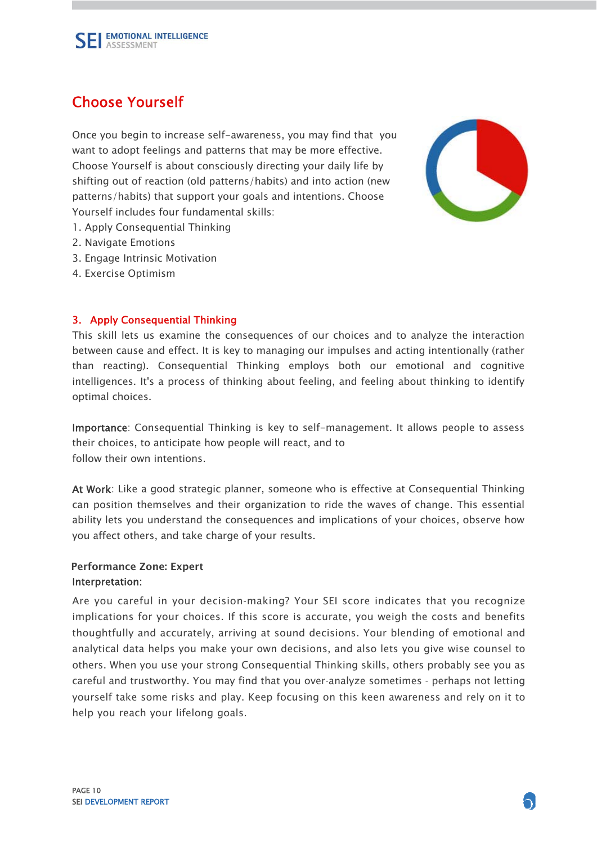

### Choose Yourself

Once you begin to increase self-awareness, you may find that you want to adopt feelings and patterns that may be more effective. Choose Yourself is about consciously directing your daily life by shifting out of reaction (old patterns/habits) and into action (new patterns/habits) that support your goals and intentions. Choose Yourself includes four fundamental skills:

- 1. Apply Consequential Thinking
- 2. Navigate Emotions
- 3. Engage Intrinsic Motivation
- 4. Exercise Optimism

### 3. Apply Consequential Thinking

This skill lets us examine the consequences of our choices and to analyze the interaction between cause and effect. It is key to managing our impulses and acting intentionally (rather than reacting). Consequential Thinking employs both our emotional and cognitive intelligences. It's a process of thinking about feeling, and feeling about thinking to identify optimal choices.

Importance: Consequential Thinking is key to self-management. It allows people to assess their choices, to anticipate how people will react, and to follow their own intentions.

At Work: Like a good strategic planner, someone who is effective at Consequential Thinking can position themselves and their organization to ride the waves of change. This essential ability lets you understand the consequences and implications of your choices, observe how you affect others, and take charge of your results.

### Performance Zone: ExpertInterpretation:

Are you careful in your decision-making? Your SEI score indicates that you recognize implications for your choices. If this score is accurate, you weigh the costs and benefits thoughtfully and accurately, arriving at sound decisions. Your blending of emotional and analytical data helps you make your own decisions, and also lets you give wise counsel to others. When you use your strong Consequential Thinking skills, others probably see you as careful and trustworthy. You may find that you over-analyze sometimes - perhaps not letting yourself take some risks and play. Keep focusing on this keen awareness and rely on it to help you reach your lifelong goals.

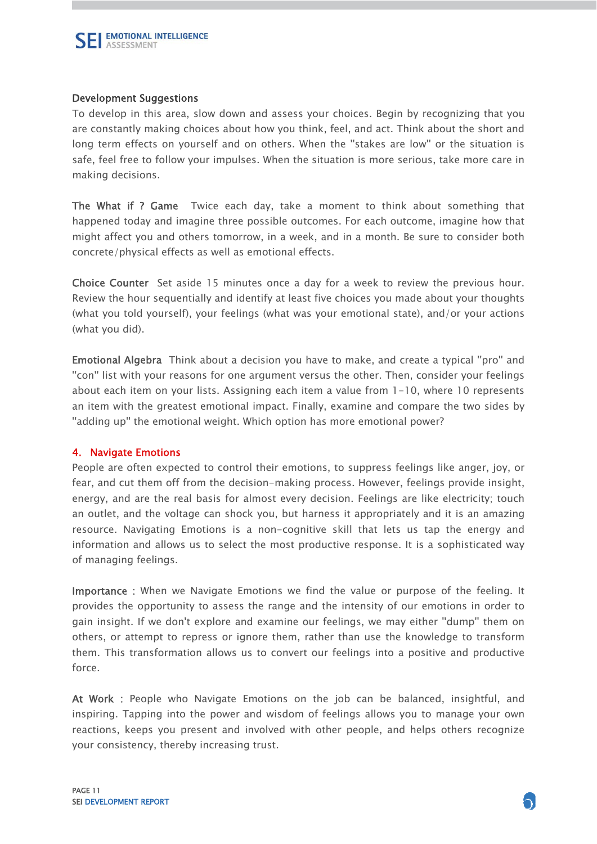

### Development Suggestions

To develop in this area, slow down and assess your choices. Begin by recognizing that you are constantly making choices about how you think, feel, and act. Think about the short and long term effects on yourself and on others. When the "stakes are low" or the situation is safe, feel free to follow your impulses. When the situation is more serious, take more care in making decisions.

The What if ? Game Twice each day, take a moment to think about something that happened today and imagine three possible outcomes. For each outcome, imagine how that might affect you and others tomorrow, in a week, and in a month. Be sure to consider both concrete/physical effects as well as emotional effects.

Choice Counter Set aside 15 minutes once a day for a week to review the previous hour. Review the hour sequentially and identify at least five choices you made about your thoughts (what you told yourself), your feelings (what was your emotional state), and/or your actions (what you did).

Emotional Algebra Think about a decision you have to make, and create a typical ''pro'' and ''con'' list with your reasons for one argument versus the other. Then, consider your feelings about each item on your lists. Assigning each item a value from 1-10, where 10 represents an item with the greatest emotional impact. Finally, examine and compare the two sides by ''adding up'' the emotional weight. Which option has more emotional power?

### 4. Navigate Emotions

People are often expected to control their emotions, to suppress feelings like anger, joy, or fear, and cut them off from the decision-making process. However, feelings provide insight, energy, and are the real basis for almost every decision. Feelings are like electricity; touch an outlet, and the voltage can shock you, but harness it appropriately and it is an amazing resource. Navigating Emotions is a non-cognitive skill that lets us tap the energy and information and allows us to select the most productive response. It is a sophisticated way of managing feelings.

Importance : When we Navigate Emotions we find the value or purpose of the feeling. It provides the opportunity to assess the range and the intensity of our emotions in order to gain insight. If we don't explore and examine our feelings, we may either ''dump'' them on others, or attempt to repress or ignore them, rather than use the knowledge to transform them. This transformation allows us to convert our feelings into a positive and productive force.

At Work : People who Navigate Emotions on the job can be balanced, insightful, and inspiring. Tapping into the power and wisdom of feelings allows you to manage your own reactions, keeps you present and involved with other people, and helps others recognize your consistency, thereby increasing trust.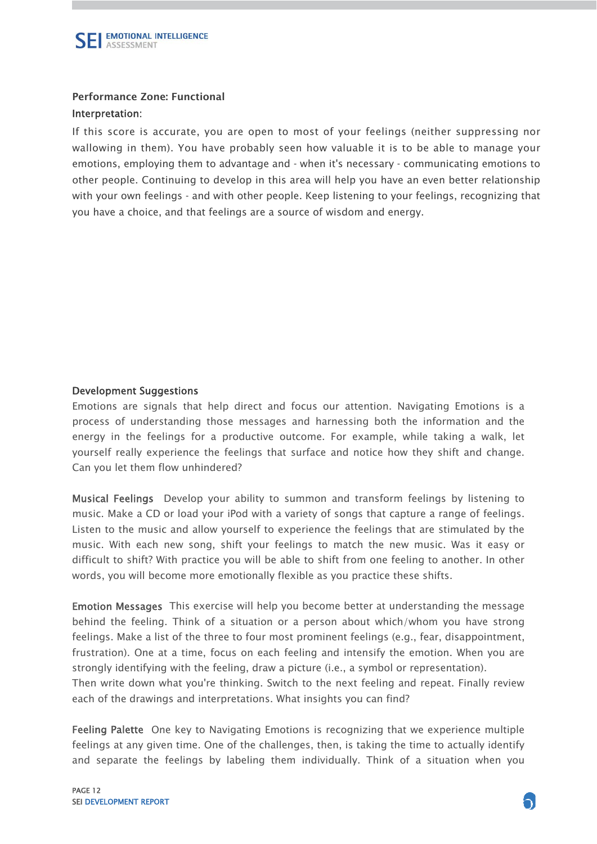

### Performance Zone: Functional

### Interpretation:

If this score is accurate, you are open to most of your feelings (neither suppressing nor wallowing in them). You have probably seen how valuable it is to be able to manage your emotions, employing them to advantage and - when it's necessary - communicating emotions to other people. Continuing to develop in this area will help you have an even better relationship with your own feelings - and with other people. Keep listening to your feelings, recognizing that you have a choice, and that feelings are a source of wisdom and energy.

### Development Suggestions

Emotions are signals that help direct and focus our attention. Navigating Emotions is a process of understanding those messages and harnessing both the information and the energy in the feelings for a productive outcome. For example, while taking a walk, let yourself really experience the feelings that surface and notice how they shift and change. Can you let them flow unhindered?

Musical Feelings Develop your ability to summon and transform feelings by listening to music. Make a CD or load your iPod with a variety of songs that capture a range of feelings. Listen to the music and allow yourself to experience the feelings that are stimulated by the music. With each new song, shift your feelings to match the new music. Was it easy or difficult to shift? With practice you will be able to shift from one feeling to another. In other words, you will become more emotionally flexible as you practice these shifts.

Emotion Messages This exercise will help you become better at understanding the message behind the feeling. Think of a situation or a person about which/whom you have strong feelings. Make a list of the three to four most prominent feelings (e.g., fear, disappointment, frustration). One at a time, focus on each feeling and intensify the emotion. When you are strongly identifying with the feeling, draw a picture (i.e., a symbol or representation). Then write down what you're thinking. Switch to the next feeling and repeat. Finally review each of the drawings and interpretations. What insights you can find?

Feeling Palette One key to Navigating Emotions is recognizing that we experience multiple feelings at any given time. One of the challenges, then, is taking the time to actually identify and separate the feelings by labeling them individually. Think of a situation when you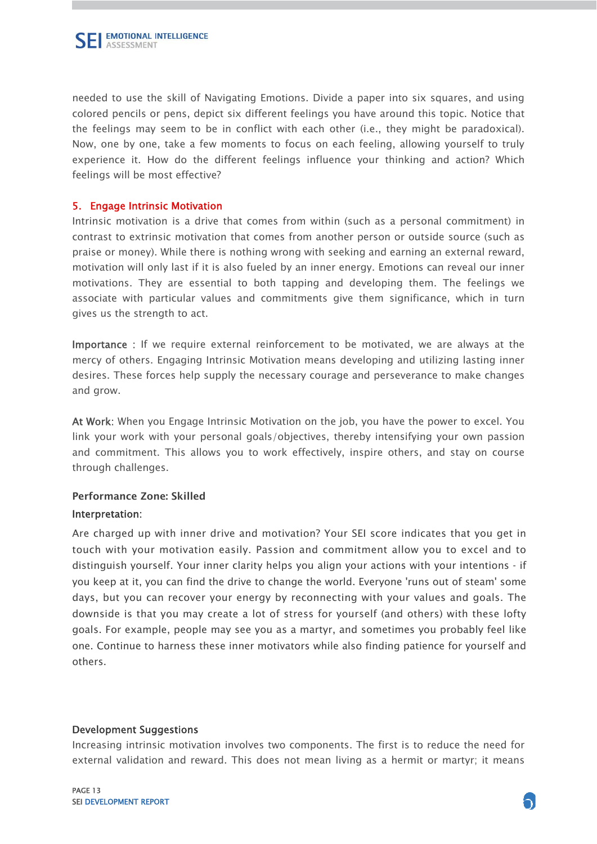

needed to use the skill of Navigating Emotions. Divide a paper into six squares, and using colored pencils or pens, depict six different feelings you have around this topic. Notice that the feelings may seem to be in conflict with each other (i.e., they might be paradoxical). Now, one by one, take a few moments to focus on each feeling, allowing yourself to truly experience it. How do the different feelings influence your thinking and action? Which feelings will be most effective?

### 5. Engage Intrinsic Motivation

Intrinsic motivation is a drive that comes from within (such as a personal commitment) in contrast to extrinsic motivation that comes from another person or outside source (such as praise or money). While there is nothing wrong with seeking and earning an external reward, motivation will only last if it is also fueled by an inner energy. Emotions can reveal our inner motivations. They are essential to both tapping and developing them. The feelings we associate with particular values and commitments give them significance, which in turn gives us the strength to act.

Importance : If we require external reinforcement to be motivated, we are always at the mercy of others. Engaging Intrinsic Motivation means developing and utilizing lasting inner desires. These forces help supply the necessary courage and perseverance to make changes and grow.

At Work: When you Engage Intrinsic Motivation on the job, you have the power to excel. You link your work with your personal goals/objectives, thereby intensifying your own passion and commitment. This allows you to work effectively, inspire others, and stay on course through challenges.

### Performance Zone: Skilled Interpretation:

 Are charged up with inner drive and motivation? Your SEI score indicates that you get in touch with your motivation easily. Passion and commitment allow you to excel and to distinguish yourself. Your inner clarity helps you align your actions with your intentions - if you keep at it, you can find the drive to change the world. Everyone 'runs out of steam' some days, but you can recover your energy by reconnecting with your values and goals. The downside is that you may create a lot of stress for yourself (and others) with these lofty goals. For example, people may see you as a martyr, and sometimes you probably feel like one. Continue to harness these inner motivators while also finding patience for yourself and Ĭ Ĭ others.

#### Development Suggestions

Increasing intrinsic motivation involves two components. The first is to reduce the need for external validation and reward. This does not mean living as a hermit or martyr; it means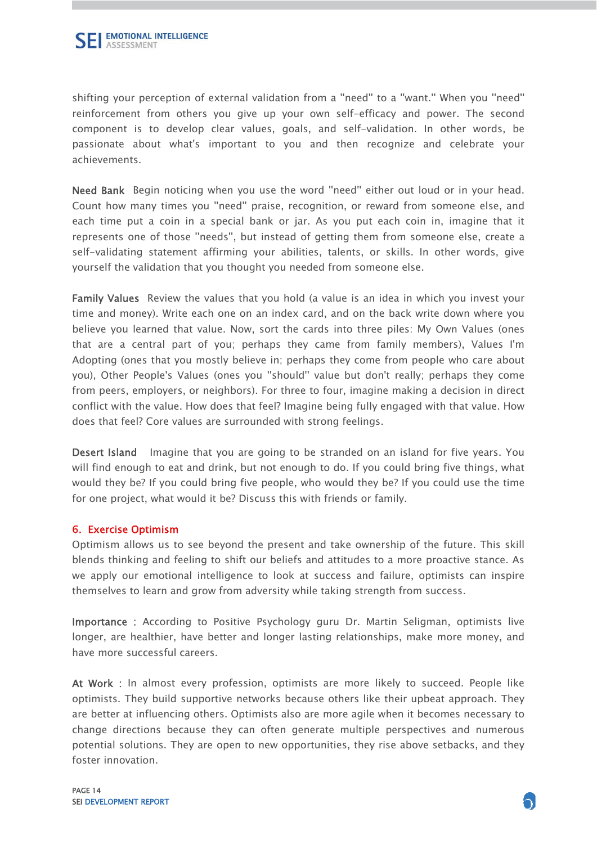shifting your perception of external validation from a ''need'' to a ''want.'' When you ''need'' reinforcement from others you give up your own self-efficacy and power. The second component is to develop clear values, goals, and self-validation. In other words, be passionate about what's important to you and then recognize and celebrate your achievements.

Need Bank Begin noticing when you use the word ''need'' either out loud or in your head. Count how many times you ''need'' praise, recognition, or reward from someone else, and each time put a coin in a special bank or jar. As you put each coin in, imagine that it represents one of those ''needs'', but instead of getting them from someone else, create a self-validating statement affirming your abilities, talents, or skills. In other words, give yourself the validation that you thought you needed from someone else.

Family Values Review the values that you hold (a value is an idea in which you invest your time and money). Write each one on an index card, and on the back write down where you believe you learned that value. Now, sort the cards into three piles: My Own Values (ones that are a central part of you; perhaps they came from family members), Values I'm Adopting (ones that you mostly believe in; perhaps they come from people who care about you), Other People's Values (ones you ''should'' value but don't really; perhaps they come from peers, employers, or neighbors). For three to four, imagine making a decision in direct conflict with the value. How does that feel? Imagine being fully engaged with that value. How does that feel? Core values are surrounded with strong feelings.

Desert Island Imagine that you are going to be stranded on an island for five years. You will find enough to eat and drink, but not enough to do. If you could bring five things, what would they be? If you could bring five people, who would they be? If you could use the time for one project, what would it be? Discuss this with friends or family.

### 6. Exercise Optimism

Optimism allows us to see beyond the present and take ownership of the future. This skill blends thinking and feeling to shift our beliefs and attitudes to a more proactive stance. As we apply our emotional intelligence to look at success and failure, optimists can inspire themselves to learn and grow from adversity while taking strength from success.

Importance : According to Positive Psychology guru Dr. Martin Seligman, optimists live longer, are healthier, have better and longer lasting relationships, make more money, and have more successful careers.

At Work : In almost every profession, optimists are more likely to succeed. People like optimists. They build supportive networks because others like their upbeat approach. They are better at influencing others. Optimists also are more agile when it becomes necessary to change directions because they can often generate multiple perspectives and numerous potential solutions. They are open to new opportunities, they rise above setbacks, and they foster innovation.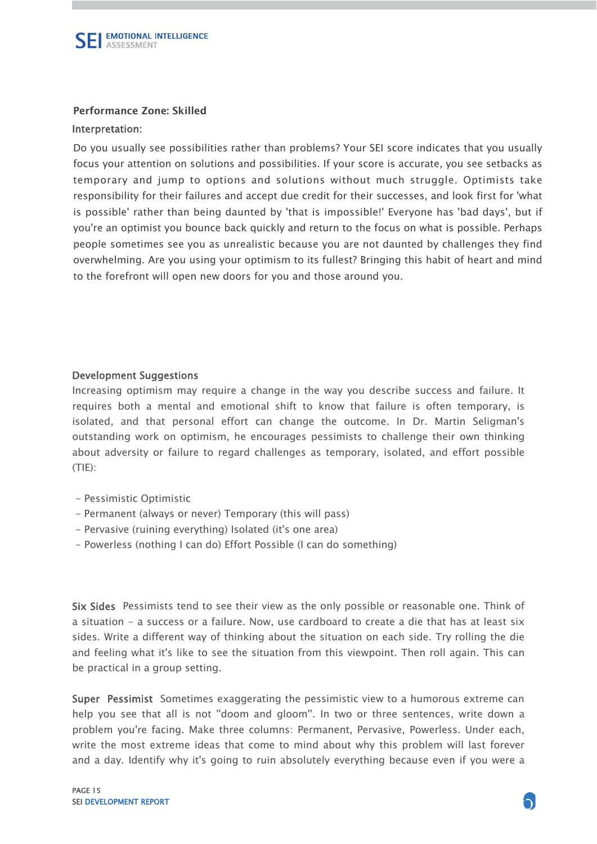

### Performance Zone: Skilled

#### Interpretation:

Do you usually see possibilities rather than problems? Your SEI score indicates that you usually focus your attention on solutions and possibilities. If your score is accurate, you see setbacks as temporary and jump to options and solutions without much struggle. Optimists take responsibility for their failures and accept due credit for their successes, and look first for 'what is possible' rather than being daunted by 'that is impossible!' Everyone has 'bad days', but if you're an optimist you bounce back quickly and return to the focus on what is possible. Perhaps people sometimes see you as unrealistic because you are not daunted by challenges they find overwhelming. Are you using your optimism to its fullest? Bringing this habit of heart and mind to the forefront will open new doors for you and those around you.

#### Development Suggestions

Increasing optimism may require a change in the way you describe success and failure. It requires both a mental and emotional shift to know that failure is often temporary, is isolated, and that personal effort can change the outcome. In Dr. Martin Seligman's outstanding work on optimism, he encourages pessimists to challenge their own thinking about adversity or failure to regard challenges as temporary, isolated, and effort possible  $(TIE)$ :

- Pessimistic Optimistic
- Permanent (always or never) Temporary (this will pass)
- Pervasive (ruining everything) Isolated (it's one area)
- Powerless (nothing I can do) Effort Possible (I can do something)

Six Sides Pessimists tend to see their view as the only possible or reasonable one. Think of a situation - a success or a failure. Now, use cardboard to create a die that has at least six sides. Write a different way of thinking about the situation on each side. Try rolling the die and feeling what it's like to see the situation from this viewpoint. Then roll again. This can be practical in a group setting.

Super Pessimist Sometimes exaggerating the pessimistic view to a humorous extreme can help you see that all is not ''doom and gloom''. In two or three sentences, write down a problem you're facing. Make three columns: Permanent, Pervasive, Powerless. Under each, write the most extreme ideas that come to mind about why this problem will last forever and a day. Identify why it's going to ruin absolutely everything because even if you were a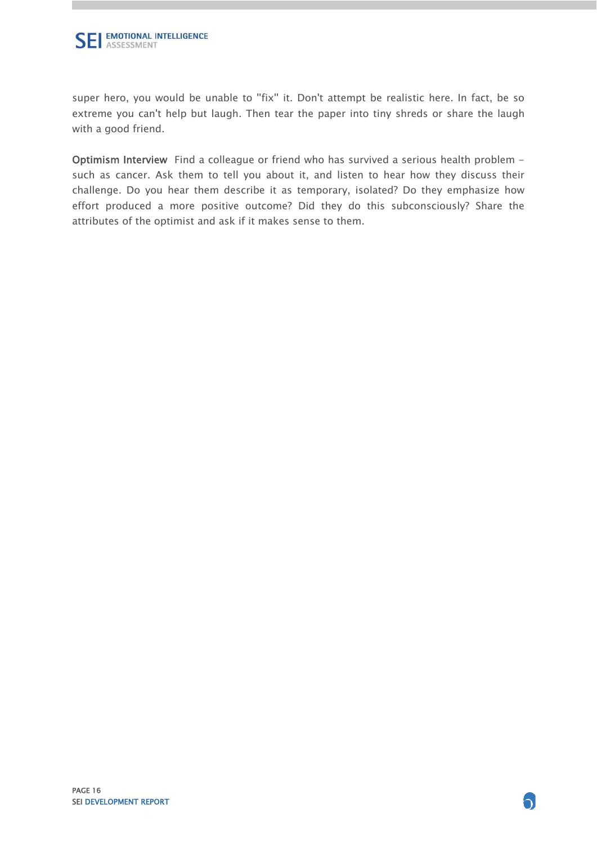

super hero, you would be unable to "fix" it. Don't attempt be realistic here. In fact, be so extreme you can't help but laugh. Then tear the paper into tiny shreds or share the laugh with a good friend.

Optimism Interview Find a colleague or friend who has survived a serious health problem such as cancer. Ask them to tell you about it, and listen to hear how they discuss their challenge. Do you hear them describe it as temporary, isolated? Do they emphasize how effort produced a more positive outcome? Did they do this subconsciously? Share the attributes of the optimist and ask if it makes sense to them.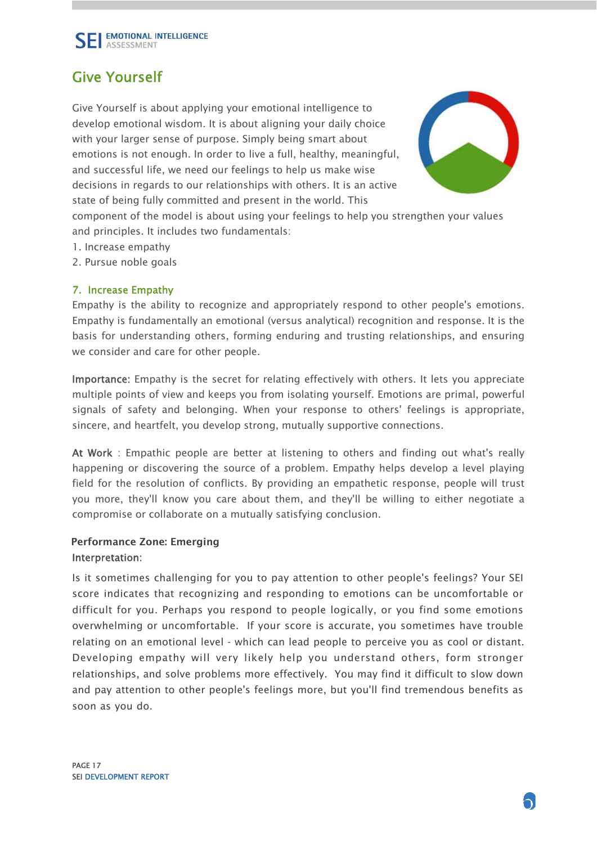

### Give Yourself

Give Yourself is about applying your emotional intelligence to develop emotional wisdom. It is about aligning your daily choice with your larger sense of purpose. Simply being smart about emotions is not enough. In order to live a full, healthy, meaningful, and successful life, we need our feelings to help us make wise decisions in regards to our relationships with others. It is an active state of being fully committed and present in the world. This



component of the model is about using your feelings to help you strengthen your values and principles. It includes two fundamentals:

- 1. Increase empathy
- 2. Pursue noble goals

### 7. Increase Empathy

Empathy is the ability to recognize and appropriately respond to other people's emotions. Empathy is fundamentally an emotional (versus analytical) recognition and response. It is the basis for understanding others, forming enduring and trusting relationships, and ensuring we consider and care for other people.

Importance: Empathy is the secret for relating effectively with others. It lets you appreciate multiple points of view and keeps you from isolating yourself. Emotions are primal, powerful signals of safety and belonging. When your response to others' feelings is appropriate, sincere, and heartfelt, you develop strong, mutually supportive connections.

At Work : Empathic people are better at listening to others and finding out what's really happening or discovering the source of a problem. Empathy helps develop a level playing field for the resolution of conflicts. By providing an empathetic response, people will trust you more, they'll know you care about them, and they'll be willing to either negotiate a compromise or collaborate on a mutually satisfying conclusion.

### Performance Zone: EmergingInterpretation:

Is it sometimes challenging for you to pay attention to other people's feelings? Your SEI score indicates that recognizing and responding to emotions can be uncomfortable or difficult for you. Perhaps you respond to people logically, or you find some emotions overwhelming or uncomfortable. If your score is accurate, you sometimes have trouble relating on an emotional level - which can lead people to perceive you as cool or distant. Developing empathy will very likely help you understand others, form stronger relationships, and solve problems more effectively. You may find it difficult to slow down and pay attention to other people's feelings more, but you'll find tremendous benefits as soon as you do.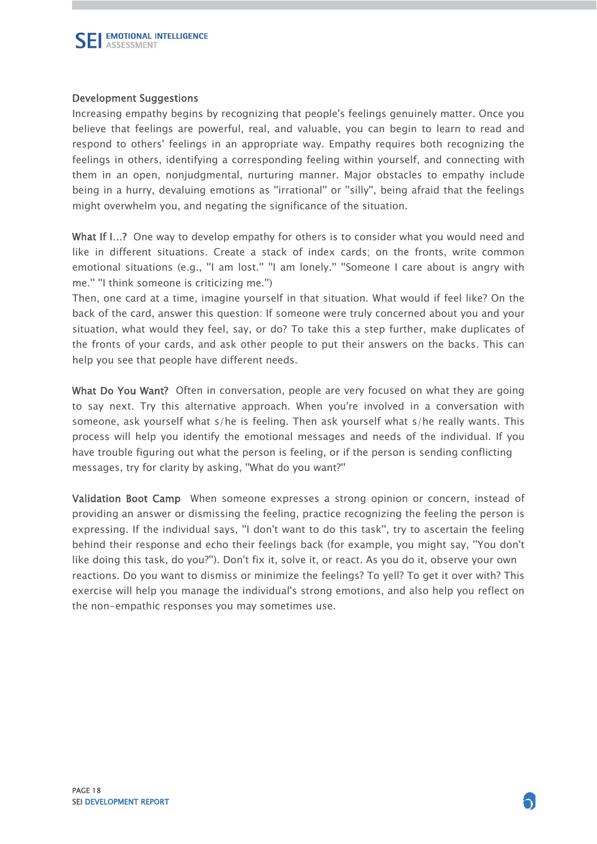

### Development Suggestions

Increasing empathy begins by recognizing that people's feelings genuinely matter. Once you believe that feelings are powerful, real, and valuable, you can begin to learn to read and respond to others' feelings in an appropriate way. Empathy requires both recognizing the feelings in others, identifying a corresponding feeling within yourself, and connecting with them in an open, nonjudgmental, nurturing manner. Major obstacles to empathy include being in a hurry, devaluing emotions as ''irrational'' or ''silly'', being afraid that the feelings might overwhelm you, and negating the significance of the situation.

What If I...? One way to develop empathy for others is to consider what you would need and like in different situations. Create a stack of index cards; on the fronts, write common emotional situations (e.g., "I am lost." "I am lonely." "Someone I care about is angry with me.'' ''I think someone is criticizing me.'')

Then, one card at a time, imagine yourself in that situation. What would if feel like? On the back of the card, answer this question: If someone were truly concerned about you and your situation, what would they feel, say, or do? To take this a step further, make duplicates of the fronts of your cards, and ask other people to put their answers on the backs. This can help you see that people have different needs.

What Do You Want? Often in conversation, people are very focused on what they are going to say next. Try this alternative approach. When you're involved in a conversation with someone, ask yourself what s/he is feeling. Then ask yourself what s/he really wants. This process will help you identify the emotional messages and needs of the individual. If you have trouble figuring out what the person is feeling, or if the person is sending conflicting messages, try for clarity by asking, ''What do you want?''

Validation Boot Camp When someone expresses a strong opinion or concern, instead of providing an answer or dismissing the feeling, practice recognizing the feeling the person is expressing. If the individual says, ''I don't want to do this task'', try to ascertain the feeling behind their response and echo their feelings back (for example, you might say, ''You don't like doing this task, do you?''). Don't fix it, solve it, or react. As you do it, observe your own reactions. Do you want to dismiss or minimize the feelings? To yell? To get it over with? This exercise will help you manage the individual's strong emotions, and also help you reflect on the non-empathic responses you may sometimes use.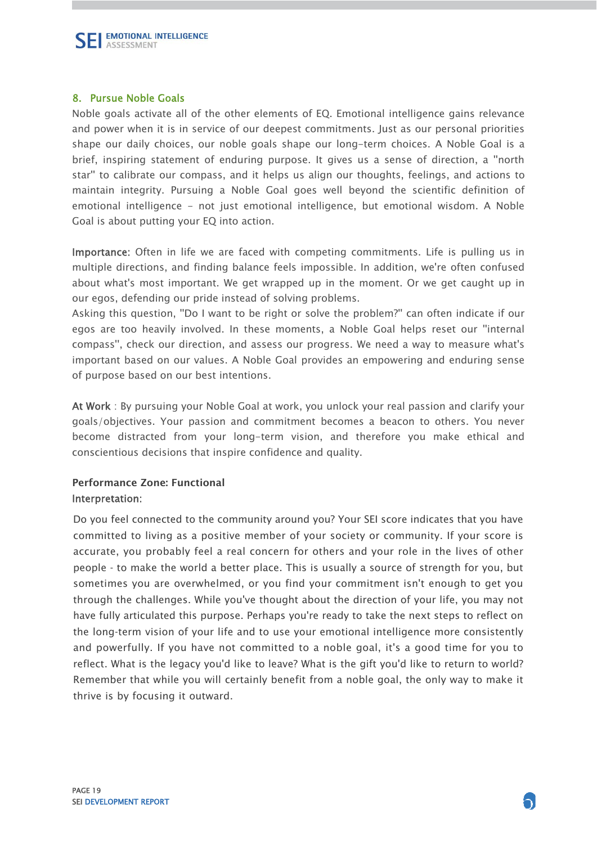

### 8. Pursue Noble Goals

Noble goals activate all of the other elements of EQ. Emotional intelligence gains relevance and power when it is in service of our deepest commitments. Just as our personal priorities shape our daily choices, our noble goals shape our long-term choices. A Noble Goal is a brief, inspiring statement of enduring purpose. It gives us a sense of direction, a ''north star'' to calibrate our compass, and it helps us align our thoughts, feelings, and actions to maintain integrity. Pursuing a Noble Goal goes well beyond the scientific definition of emotional intelligence - not just emotional intelligence, but emotional wisdom. A Noble Goal is about putting your EQ into action.

Importance: Often in life we are faced with competing commitments. Life is pulling us in multiple directions, and finding balance feels impossible. In addition, we're often confused about what's most important. We get wrapped up in the moment. Or we get caught up in our egos, defending our pride instead of solving problems.

Asking this question, ''Do I want to be right or solve the problem?'' can often indicate if our egos are too heavily involved. In these moments, a Noble Goal helps reset our ''internal compass'', check our direction, and assess our progress. We need a way to measure what's important based on our values. A Noble Goal provides an empowering and enduring sense of purpose based on our best intentions.

At Work : By pursuing your Noble Goal at work, you unlock your real passion and clarify your goals/objectives. Your passion and commitment becomes a beacon to others. You never become distracted from your long-term vision, and therefore you make ethical and conscientious decisions that inspire confidence and quality.

### Performance Zone: Functional Interpretation:

 Do you feel connected to the community around you? Your SEI score indicates that you have committed to living as a positive member of your society or community. If your score is accurate, you probably feel a real concern for others and your role in the lives of other people - to make the world a better place. This is usually a source of strength for you, but sometimes you are overwhelmed, or you find your commitment isn't enough to get you I through the challenges. While you've thought about the direction of your life, you may not have fully articulated this purpose. Perhaps you're ready to take the next steps to reflect on the long-term vision of your life and to use your emotional intelligence more consistently and powerfully. If you have not committed to a noble goal, it's a good time for you to reflect. What is the legacy you'd like to leave? What is the gift you'd like to return to world? Remember that while you will certainly benefit from a noble goal, the only way to make it thrive is by focusing it outward.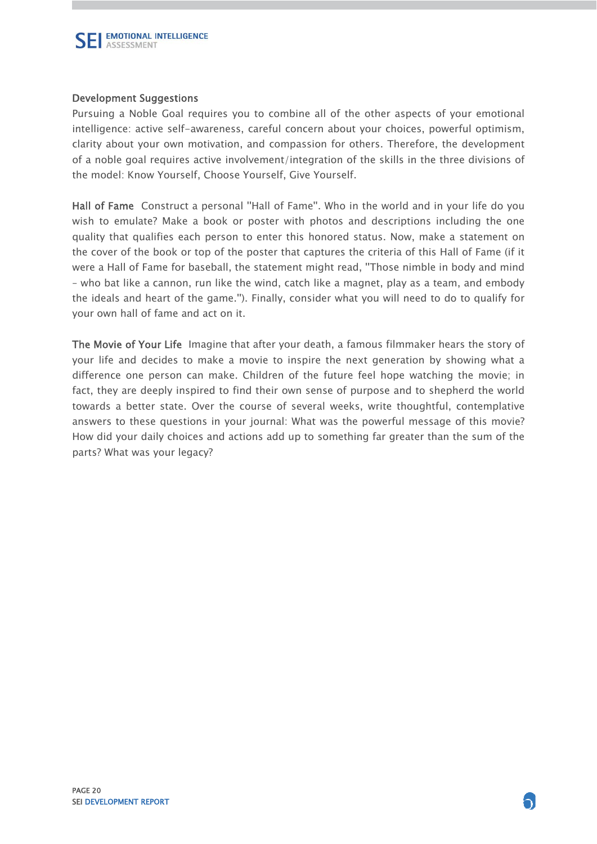

### Development Suggestions

Pursuing a Noble Goal requires you to combine all of the other aspects of your emotional intelligence: active self-awareness, careful concern about your choices, powerful optimism, clarity about your own motivation, and compassion for others. Therefore, the development of a noble goal requires active involvement/integration of the skills in the three divisions of the model: Know Yourself, Choose Yourself, Give Yourself.

Hall of Fame Construct a personal ''Hall of Fame''. Who in the world and in your life do you wish to emulate? Make a book or poster with photos and descriptions including the one quality that qualifies each person to enter this honored status. Now, make a statement on the cover of the book or top of the poster that captures the criteria of this Hall of Fame (if it were a Hall of Fame for baseball, the statement might read, ''Those nimble in body and mind – who bat like a cannon, run like the wind, catch like a magnet, play as a team, and embody the ideals and heart of the game.''). Finally, consider what you will need to do to qualify for your own hall of fame and act on it.

The Movie of Your Life Imagine that after your death, a famous filmmaker hears the story of your life and decides to make a movie to inspire the next generation by showing what a difference one person can make. Children of the future feel hope watching the movie; in fact, they are deeply inspired to find their own sense of purpose and to shepherd the world towards a better state. Over the course of several weeks, write thoughtful, contemplative answers to these questions in your journal: What was the powerful message of this movie? How did your daily choices and actions add up to something far greater than the sum of the parts? What was your legacy?